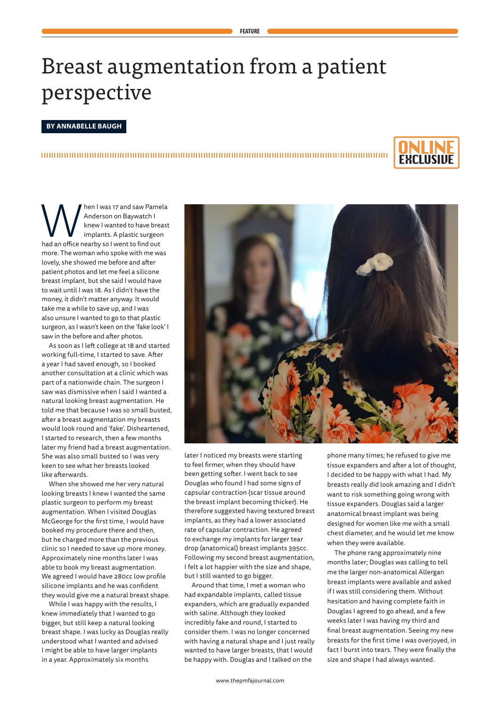## Breast augmentation from a patient perspective

**FEATURE**

## **BY ANNABELLE BAUGH**



Men I was 17 and saw Pamela<br>Anderson on Baywatch I<br>Implants. A plastic surgeon<br>had an office nearby so I went to find out Anderson on Baywatch I knew I wanted to have breast implants. A plastic surgeon more. The woman who spoke with me was lovely, she showed me before and after patient photos and let me feel a silicone breast implant, but she said I would have to wait until I was 18. As I didn't have the money, it didn't matter anyway. It would take me a while to save up, and I was also unsure I wanted to go to that plastic surgeon, as I wasn't keen on the 'fake look' I saw in the before and after photos.

As soon as I left college at 18 and started working full-time, I started to save. After a year I had saved enough, so I booked another consultation at a clinic which was part of a nationwide chain. The surgeon I saw was dismissive when I said I wanted a natural looking breast augmentation. He told me that because I was so small busted, after a breast augmentation my breasts would look round and 'fake'. Disheartened, I started to research, then a few months later my friend had a breast augmentation. She was also small busted so I was very keen to see what her breasts looked like afterwards.

When she showed me her very natural looking breasts I knew I wanted the same plastic surgeon to perform my breast augmentation. When I visited Douglas McGeorge for the first time, I would have booked my procedure there and then, but he charged more than the previous clinic so I needed to save up more money. Approximately nine months later I was able to book my breast augmentation. We agreed I would have 280cc low profile silicone implants and he was confident they would give me a natural breast shape.

While I was happy with the results, I knew immediately that I wanted to go bigger, but still keep a natural looking breast shape. I was lucky as Douglas really understood what I wanted and advised I might be able to have larger implants in a year. Approximately six months



later I noticed my breasts were starting to feel firmer, when they should have been getting softer. I went back to see Douglas who found I had some signs of capsular contraction (scar tissue around the breast implant becoming thicker). He therefore suggested having textured breast implants, as they had a lower associated rate of capsular contraction. He agreed to exchange my implants for larger tear drop (anatomical) breast implants 395cc. Following my second breast augmentation, I felt a lot happier with the size and shape, but I still wanted to go bigger.

Around that time, I met a woman who had expandable implants, called tissue expanders, which are gradually expanded with saline. Although they looked incredibly fake and round, I started to consider them. I was no longer concerned with having a natural shape and I just really wanted to have larger breasts, that I would be happy with. Douglas and I talked on the

phone many times; he refused to give me tissue expanders and after a lot of thought, I decided to be happy with what I had. My breasts really did look amazing and I didn't want to risk something going wrong with tissue expanders. Douglas said a larger anatomical breast implant was being designed for women like me with a small chest diameter, and he would let me know when they were available.

The phone rang approximately nine months later; Douglas was calling to tell me the larger non-anatomical Allergan breast implants were available and asked if I was still considering them. Without hesitation and having complete faith in Douglas I agreed to go ahead, and a few weeks later I was having my third and final breast augmentation. Seeing my new breasts for the first time I was overjoyed, in fact I burst into tears. They were finally the size and shape I had always wanted.